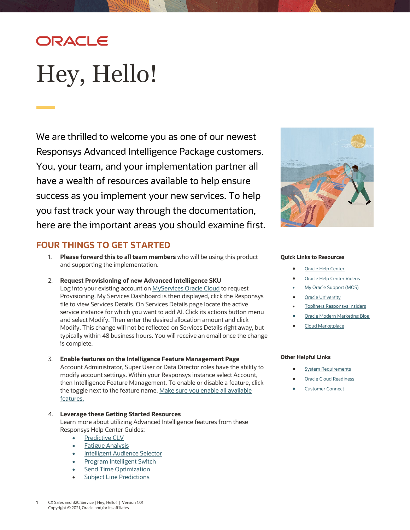## ORACLE

# <span id="page-0-0"></span>Hey, Hello!

We are thrilled to welcome you as one of our newest Responsys Advanced Intelligence Package customers. You, your team, and your implementation partner all have a wealth of resources available to help ensure success as you implement your new services. To help you fast track your way through the documentation, here are the important areas you should examine first.

## **FOUR THINGS TO GET STARTED**

- 1. **Please forward this to all team members** who will be using this product and supporting the implementation.
- 2. **Request Provisioning of new Advanced Intelligence SKU**  Log into your existing account on [MyServices Oracle Cloud](https://myservices.us.oraclecloud.com/mycloud/cloudportal/dashboard) to request Provisioning. My Services Dashboard is then displayed, click the Responsys tile to view Services Details. On Services Details page locate the active service instance for which you want to add AI. Click its actions button menu and select Modify. Then enter the desired allocation amount and click Modify. This change will not be reflected on Services Details right away, but typically within 48 business hours. You will receive an email once the change is complete.
- 3. **Enable features on the Intelligence Feature Management Page** Account Administrator, Super User or Data Director roles have the ability to modify account settings. Within your Responsys instance select Account, then Intelligence Feature Management. To enable or disable a feature, click the toggle next to the feature name. Make sure you enable all available [features.](#page-2-0)
- 4. **Leverage these Getting Started Resources**

Learn more about utilizing Advanced Intelligence features from these Responsys Help Center Guides:

- [Predictive CLV](https://docs.oracle.com/en/cloud/saas/marketing/responsys-user/CLV_Overview.htm)
- [Fatigue Analysis](https://docs.oracle.com/en/cloud/saas/marketing/responsys-user/FFC_Overview.htm)
- [Intelligent Audience Selector](https://docs.oracle.com/en/cloud/saas/marketing/responsys-user/Programs_Events.htm#IntelligentAudienceSelector)
- **[Program Intelligent Switch](https://docs.oracle.com/en/cloud/saas/marketing/responsys-user/Programs_Switches.htm#IntelSwitch)**
- [Send Time Optimization](https://docs.oracle.com/en/cloud/saas/marketing/responsys-user/Help/SendTimeOptimization/SendTimeOptimization_Overview.htm)
- **[Subject Line Predictions](https://docs.oracle.com/en/cloud/saas/marketing/responsys-user/CampaignDesigner_SubjectLine_FAQ.htm)**



#### **Quick Links to Resources**

- **[Oracle Help Center](https://docs.oracle.com/en/cloud/saas/marketing/responsys.html)**
- [Oracle Help Center Videos](https://www.youtube.com/channel/UCZwotmMjrpd4I8DUaS5TVGA)
- **[My Oracle Support \(MOS\)](https://support.oracle.com/)**
- **[Oracle University](https://learn.oracle.com/ols/home/37002#filtersGroup1=&filtersGroup2=&filtersGroup3=&filtersGroup4=&filtersGroup5=&filtersGroup6=&filtersGroup7=&filtersSearch=)**
- [Topliners Responsys Insiders](https://community.oracle.com/topliners/group/1711-responsys-insiders)
- **[Oracle Modern Marketing Blog](https://blogs.oracle.com/marketingcloud/)**
- [Cloud Marketplace](https://cloudmarketplace.oracle.com/marketplace/product/marketing)

#### **Other Helpful Links**

- **[System Requirements](https://docs.oracle.com/en/cloud/saas/marketing/responsys-user/Overview_SystemRequirements.htm)**
- **[Oracle Cloud Readiness](https://www.oracle.com/webfolder/technetwork/tutorials/tutorial/readiness/offering.html?offering=marketing-responsys-20)**
- **[Customer Connect](https://community.oracle.com/customerconnect/)**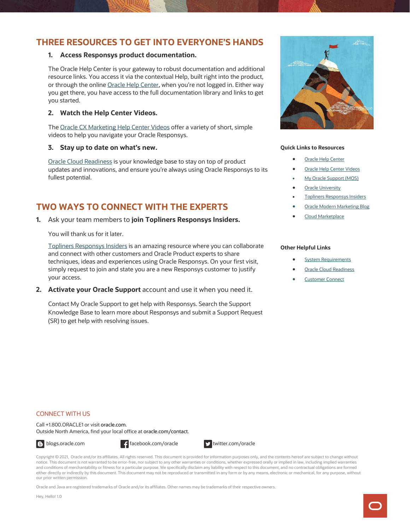### **THREE RESOURCES TO GET INTO EVERYONE'S HANDS**

#### **1. Access Responsys product documentation.**

The Oracle Help Center is your gateway to robust documentation and additional resource links. You access it via the contextual Help, built right into the product, or through the onlin[e Oracle Help Center,](https://docs.oracle.com/en/cloud/saas/marketing/responsys.html) when you're not logged in. Either way you get there, you have access to the full documentation library and links to get you started.

#### **2. Watch the Help Center Videos.**

The [Oracle CX Marketing Help Center Videos](https://www.youtube.com/playlist?list=PLw7GyH-Hj8cMQ4fcC3Ql9OqPM8M52iEgT) offer a variety of short, simple videos to help you navigate your Oracle Responsys.

#### **3. Stay up to date on what's new.**

[Oracle Cloud Readiness](https://www.oracle.com/webfolder/technetwork/tutorials/tutorial/readiness/offering.html?offering=marketing-responsys-20) is your knowledge base to stay on top of product updates and innovations, and ensure you're always using Oracle Responsys to its fullest potential.

## **TWO WAYS TO CONNECT WITH THE EXPERTS**

**1.** Ask your team members to **join Topliners Responsys Insiders.** 

You will thank us for it later.

[Topliners Responsys Insiders](https://community.oracle.com/topliners/group/1711-responsys-insiders) is an amazing resource where you can collaborate and connect with other customers and Oracle Product experts to share techniques, ideas and experiences using Oracle Responsys. On your first visit, simply request to join and state you are a new Responsys customer to justify your access.

**2. Activate your Oracle Support** account and use it when you need it.

Contact My Oracle Support to get help with Responsys. Search the Support Knowledge Base to learn more about Responsys and submit a Support Request (SR) to get help with resolving issues.



#### **Quick Links to Resources**

- **[Oracle Help Center](https://docs.oracle.com/en/cloud/saas/marketing/responsys.html)**
- **[Oracle Help Center Videos](https://www.youtube.com/channel/UCZwotmMjrpd4I8DUaS5TVGA)**
- [My Oracle Support \(MOS\)](https://support.oracle.com/)
- **[Oracle University](https://learn.oracle.com/ols/home/37002#filtersGroup1=&filtersGroup2=&filtersGroup3=&filtersGroup4=&filtersGroup5=&filtersGroup6=&filtersGroup7=&filtersSearch=)**
- **[Topliners Responsys Insiders](https://community.oracle.com/topliners/group/1711-responsys-insiders)**
- **[Oracle Modern Marketing Blog](https://blogs.oracle.com/marketingcloud/)**
- [Cloud Marketplace](https://cloudmarketplace.oracle.com/marketplace/product/marketing)

#### **Other Helpful Links**

- **[System Requirements](https://docs.oracle.com/en/cloud/saas/marketing/responsys-user/Overview_SystemRequirements.htm)**
- **[Oracle Cloud Readiness](https://www.oracle.com/webfolder/technetwork/tutorials/tutorial/readiness/offering.html?offering=marketing-responsys-20)**
- [Customer Connect](https://community.oracle.com/customerconnect/)

#### CONNECT WITH US

Call +1.800.ORACLE1 or visi[t oracle.com.](https://www.oracle.com/) Outside North America, find your local office a[t oracle.com/contact.](https://www.oracle.com/corporate/contact/)



Copyright © 2021, Oracle and/or its affiliates. All rights reserved. This document is provided for information purposes only, and the contents hereof are subject to change without notice. This document is not warranted to be error-free, nor subject to any other warranties or conditions, whether expressed orally or implied in law, including implied warranties and conditions of merchantability or fitness for a particular purpose. We specifically disclaim any liability with respect to this document, and no contractual obligations are formed either directly or indirectly by this document. This document may not be reproduced or transmitted in any form or by any means, electronic or mechanical, for any purpose, without our prior written permission.

Oracle and Java are registered trademarks of Oracle and/or its affiliates. Other names may be trademarks of their respective owners.

Hey, Hello! 1.0